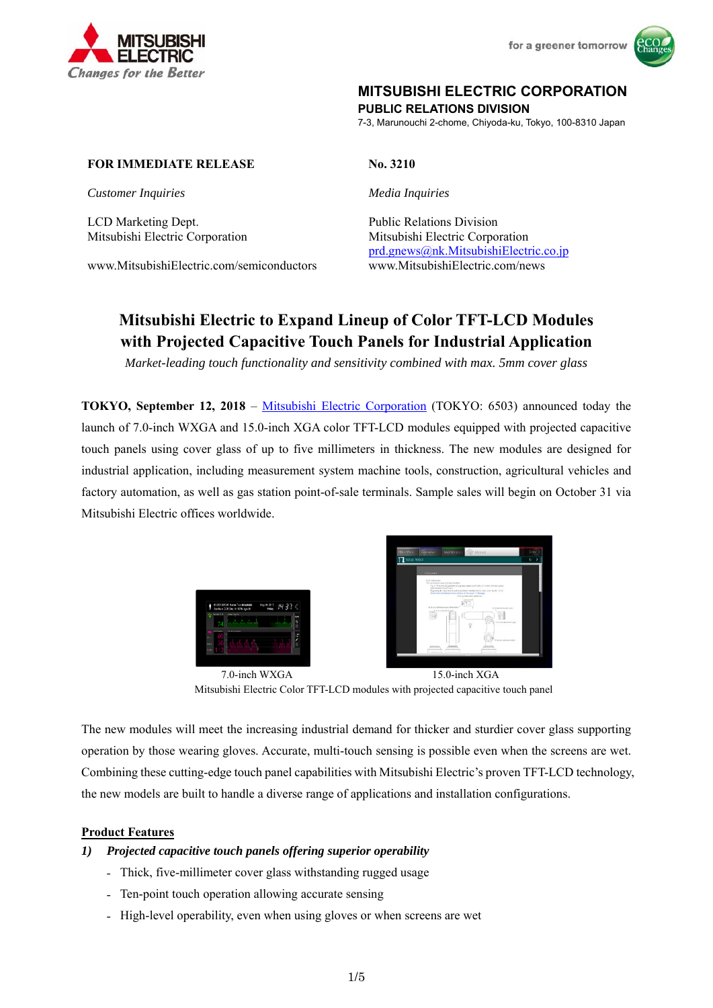



## **MITSUBISHI ELECTRIC CORPORATION**

**PUBLIC RELATIONS DIVISION** 

7-3, Marunouchi 2-chome, Chiyoda-ku, Tokyo, 100-8310 Japan

#### **FOR IMMEDIATE RELEASE No. 3210**

*Customer Inquiries Media Inquiries*

LCD Marketing Dept. Public Relations Division

www.MitsubishiElectric.com/semiconductors www.MitsubishiElectric.com/news

Mitsubishi Electric Corporation Mitsubishi Electric Corporation prd.gnews@nk.MitsubishiElectric.co.jp

# **Mitsubishi Electric to Expand Lineup of Color TFT-LCD Modules with Projected Capacitive Touch Panels for Industrial Application**

*Market-leading touch functionality and sensitivity combined with max. 5mm cover glass* 

**TOKYO, September 12, 2018** – Mitsubishi Electric Corporation (TOKYO: 6503) announced today the launch of 7.0-inch WXGA and 15.0-inch XGA color TFT-LCD modules equipped with projected capacitive touch panels using cover glass of up to five millimeters in thickness. The new modules are designed for industrial application, including measurement system machine tools, construction, agricultural vehicles and factory automation, as well as gas station point-of-sale terminals. Sample sales will begin on October 31 via Mitsubishi Electric offices worldwide.





7.0-inch WXGA 15.0-inch XGA Mitsubishi Electric Color TFT-LCD modules with projected capacitive touch panel

The new modules will meet the increasing industrial demand for thicker and sturdier cover glass supporting operation by those wearing gloves. Accurate, multi-touch sensing is possible even when the screens are wet. Combining these cutting-edge touch panel capabilities with Mitsubishi Electric's proven TFT-LCD technology, the new models are built to handle a diverse range of applications and installation configurations.

#### **Product Features**

#### *1) Projected capacitive touch panels offering superior operability*

- Thick, five-millimeter cover glass withstanding rugged usage
- Ten-point touch operation allowing accurate sensing
- High-level operability, even when using gloves or when screens are wet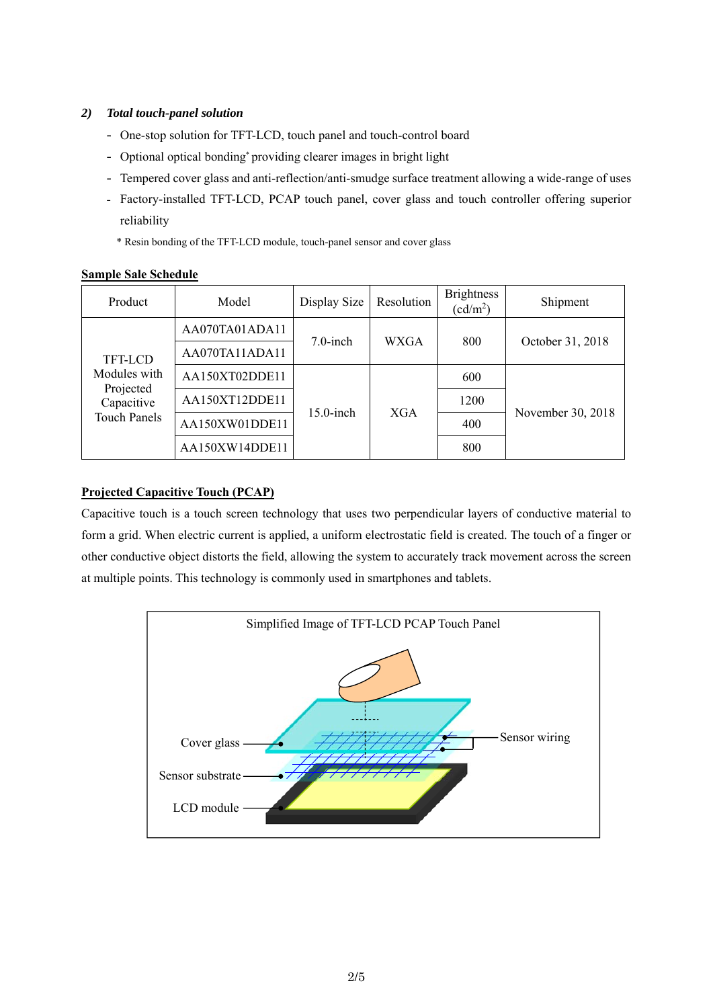### *2) Total touch-panel solution*

- One-stop solution for TFT-LCD, touch panel and touch-control board
- Optional optical bonding\* providing clearer images in bright light
- Tempered cover glass and anti-reflection/anti-smudge surface treatment allowing a wide-range of uses
- Factory-installed TFT-LCD, PCAP touch panel, cover glass and touch controller offering superior reliability
	- \* Resin bonding of the TFT-LCD module, touch-panel sensor and cover glass

#### **Sample Sale Schedule**

| Product                                                                   | Model          | Display Size | Resolution | <b>Brightness</b><br>$(cd/m^2)$ | Shipment          |
|---------------------------------------------------------------------------|----------------|--------------|------------|---------------------------------|-------------------|
| TFT-LCD<br>Modules with<br>Projected<br>Capacitive<br><b>Touch Panels</b> | AA070TA01ADA11 | $7.0$ -inch  | WXGA       | 800                             | October 31, 2018  |
|                                                                           | AA070TA11ADA11 |              |            |                                 |                   |
|                                                                           | AA150XT02DDE11 | $15.0$ -inch | <b>XGA</b> | 600                             | November 30, 2018 |
|                                                                           | AA150XT12DDE11 |              |            | 1200                            |                   |
|                                                                           | AA150XW01DDE11 |              |            | 400                             |                   |
|                                                                           | AA150XW14DDE11 |              |            | 800                             |                   |

#### **Projected Capacitive Touch (PCAP)**

Capacitive touch is a touch screen technology that uses two perpendicular layers of conductive material to form a grid. When electric current is applied, a uniform electrostatic field is created. The touch of a finger or other conductive object distorts the field, allowing the system to accurately track movement across the screen at multiple points. This technology is commonly used in smartphones and tablets.

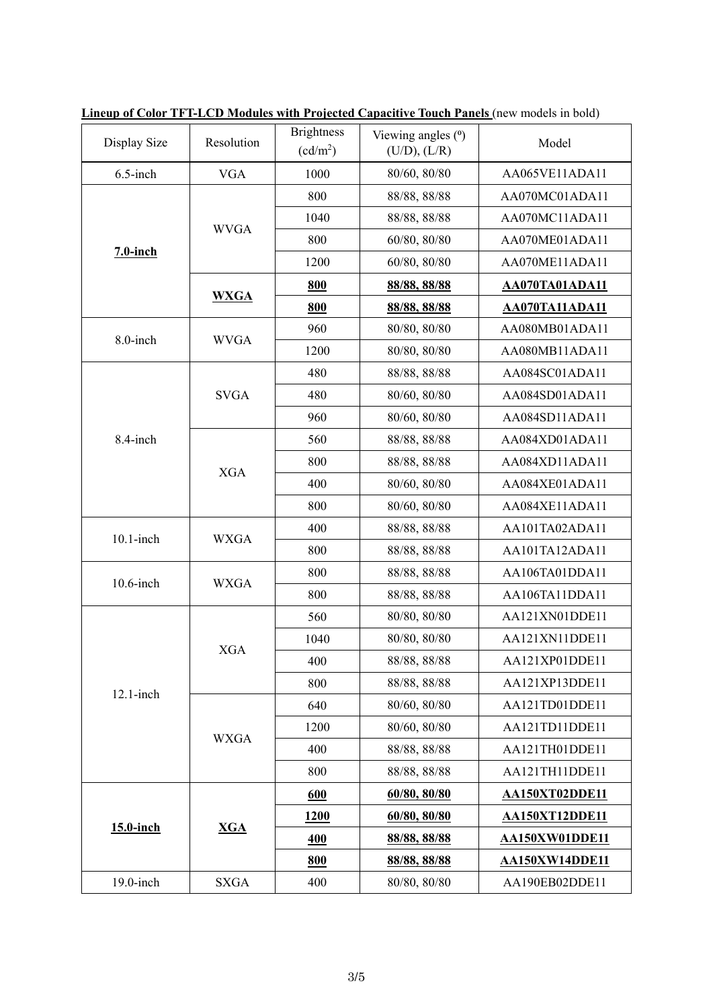| Display Size | Resolution  | <b>Brightness</b><br>$(cd/m^2)$ | Viewing angles (°)<br>(U/D), (L/R) | Model                 |  |
|--------------|-------------|---------------------------------|------------------------------------|-----------------------|--|
| $6.5$ -inch  | <b>VGA</b>  | 1000                            | 80/60, 80/80                       | AA065VE11ADA11        |  |
| $7.0$ -inch  |             | 800                             | 88/88, 88/88                       | AA070MC01ADA11        |  |
|              | <b>WVGA</b> | 1040                            | 88/88, 88/88                       | AA070MC11ADA11        |  |
|              |             | 800                             | 60/80, 80/80                       | AA070ME01ADA11        |  |
|              |             | 1200                            | 60/80, 80/80                       | AA070ME11ADA11        |  |
|              | <b>WXGA</b> | 800                             | 88/88, 88/88                       | AA070TA01ADA11        |  |
|              |             | 800                             | 88/88, 88/88                       | AA070TA11ADA11        |  |
| 8.0-inch     | <b>WVGA</b> | 960                             | 80/80, 80/80                       | AA080MB01ADA11        |  |
|              |             | 1200                            | 80/80, 80/80                       | AA080MB11ADA11        |  |
|              |             | 480                             | 88/88, 88/88                       | AA084SC01ADA11        |  |
|              | <b>SVGA</b> | 480                             | 80/60, 80/80                       | AA084SD01ADA11        |  |
|              |             | 960                             | 80/60, 80/80                       | AA084SD11ADA11        |  |
| 8.4-inch     |             | 560                             | 88/88, 88/88                       | AA084XD01ADA11        |  |
|              | <b>XGA</b>  | 800                             | 88/88, 88/88                       | AA084XD11ADA11        |  |
|              |             | 400                             | 80/60, 80/80                       | AA084XE01ADA11        |  |
|              |             | 800                             | 80/60, 80/80                       | AA084XE11ADA11        |  |
|              | <b>WXGA</b> | 400                             | 88/88, 88/88                       | AA101TA02ADA11        |  |
| $10.1$ -inch |             | 800                             | 88/88, 88/88                       | AA101TA12ADA11        |  |
| $10.6$ -inch | <b>WXGA</b> | 800                             | 88/88, 88/88                       | AA106TA01DDA11        |  |
|              |             | 800                             | 88/88, 88/88                       | AA106TA11DDA11        |  |
|              |             | 560                             | 80/80, 80/80                       | AA121XN01DDE11        |  |
|              |             | 1040                            | 80/80, 80/80                       | AA121XN11DDE11        |  |
|              | <b>XGA</b>  | 400                             | 88/88, 88/88                       | AA121XP01DDE11        |  |
| $12.1$ -inch |             | 800                             | 88/88, 88/88                       | AA121XP13DDE11        |  |
|              | <b>WXGA</b> | 640                             | 80/60, 80/80                       | AA121TD01DDE11        |  |
|              |             | 1200                            | 80/60, 80/80                       | AA121TD11DDE11        |  |
|              |             | 400                             | 88/88, 88/88                       | AA121TH01DDE11        |  |
|              |             | 800                             | 88/88, 88/88                       | AA121TH11DDE11        |  |
|              | XGA         | 600                             | 60/80, 80/80                       | AA150XT02DDE11        |  |
|              |             | 1200                            | 60/80, 80/80                       | AA150XT12DDE11        |  |
| 15.0-inch    |             | 400                             | 88/88, 88/88                       | <b>AA150XW01DDE11</b> |  |
|              |             | 800                             | 88/88, 88/88                       | <b>AA150XW14DDE11</b> |  |
| $19.0$ -inch | <b>SXGA</b> | 400                             | 80/80, 80/80                       | AA190EB02DDE11        |  |

**Lineup of Color TFT-LCD Modules with Projected Capacitive Touch Panels** (new models in bold)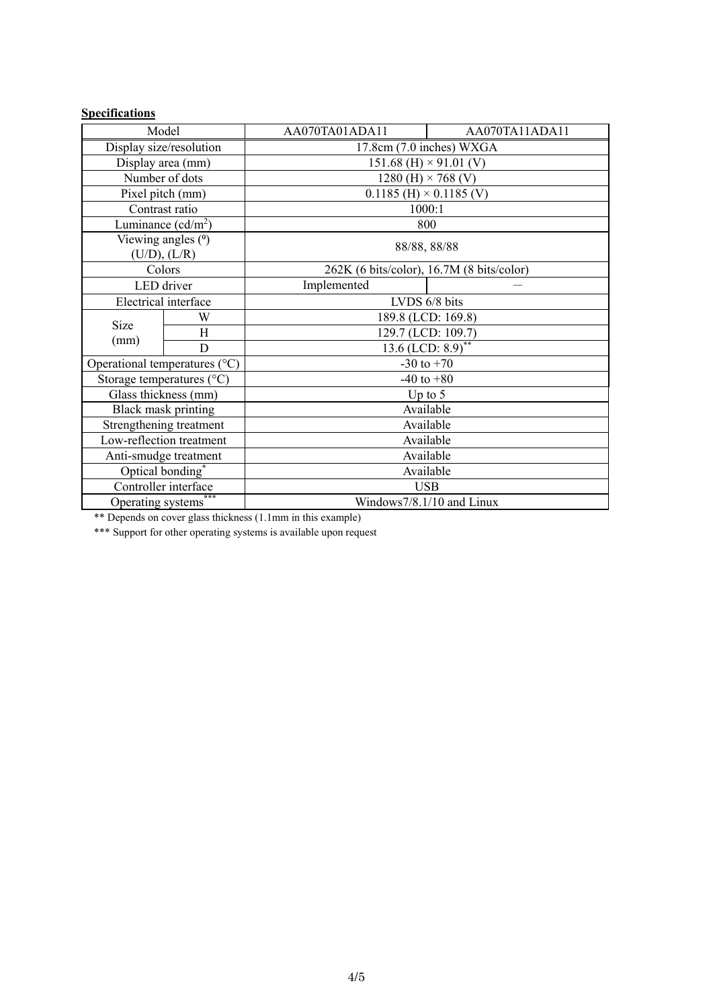# **Specifications**

| Model                                           |   | AA070TA01ADA11                     | AA070TA11ADA11                            |  |  |
|-------------------------------------------------|---|------------------------------------|-------------------------------------------|--|--|
| Display size/resolution                         |   | 17.8cm (7.0 inches) WXGA           |                                           |  |  |
| Display area (mm)                               |   | 151.68 (H) $\times$ 91.01 (V)      |                                           |  |  |
| Number of dots                                  |   | 1280 (H) $\times$ 768 (V)          |                                           |  |  |
| Pixel pitch (mm)                                |   | $0.1185$ (H) $\times$ 0.1185 (V)   |                                           |  |  |
| Contrast ratio                                  |   | 1000:1                             |                                           |  |  |
| Luminance $(cd/m^2)$                            |   | 800                                |                                           |  |  |
| Viewing angles ( <sup>0</sup> )<br>(U/D), (L/R) |   | 88/88, 88/88                       |                                           |  |  |
| Colors                                          |   |                                    | 262K (6 bits/color), 16.7M (8 bits/color) |  |  |
| LED driver                                      |   | Implemented                        |                                           |  |  |
| Electrical interface                            |   | LVDS 6/8 bits                      |                                           |  |  |
| <b>Size</b><br>(mm)                             | W | 189.8 (LCD: 169.8)                 |                                           |  |  |
|                                                 | H | 129.7 (LCD: 109.7)                 |                                           |  |  |
|                                                 | D | $13.6$ (LCD: $8.9$ ) <sup>**</sup> |                                           |  |  |
| Operational temperatures (°C)                   |   | $-30$ to $+70$                     |                                           |  |  |
| Storage temperatures $(^{\circ}C)$              |   | $-40$ to $+80$                     |                                           |  |  |
| Glass thickness (mm)                            |   | Up to $5$                          |                                           |  |  |
| Black mask printing                             |   | Available                          |                                           |  |  |
| Strengthening treatment                         |   | Available                          |                                           |  |  |
| Low-reflection treatment                        |   | Available                          |                                           |  |  |
| Anti-smudge treatment                           |   | Available                          |                                           |  |  |
| Optical bonding*                                |   | Available                          |                                           |  |  |
| Controller interface                            |   | <b>USB</b>                         |                                           |  |  |
| Operating systems <sup>7</sup>                  |   | Windows7/8.1/10 and Linux          |                                           |  |  |

\*\* Depends on cover glass thickness (1.1mm in this example)

\*\*\* Support for other operating systems is available upon request